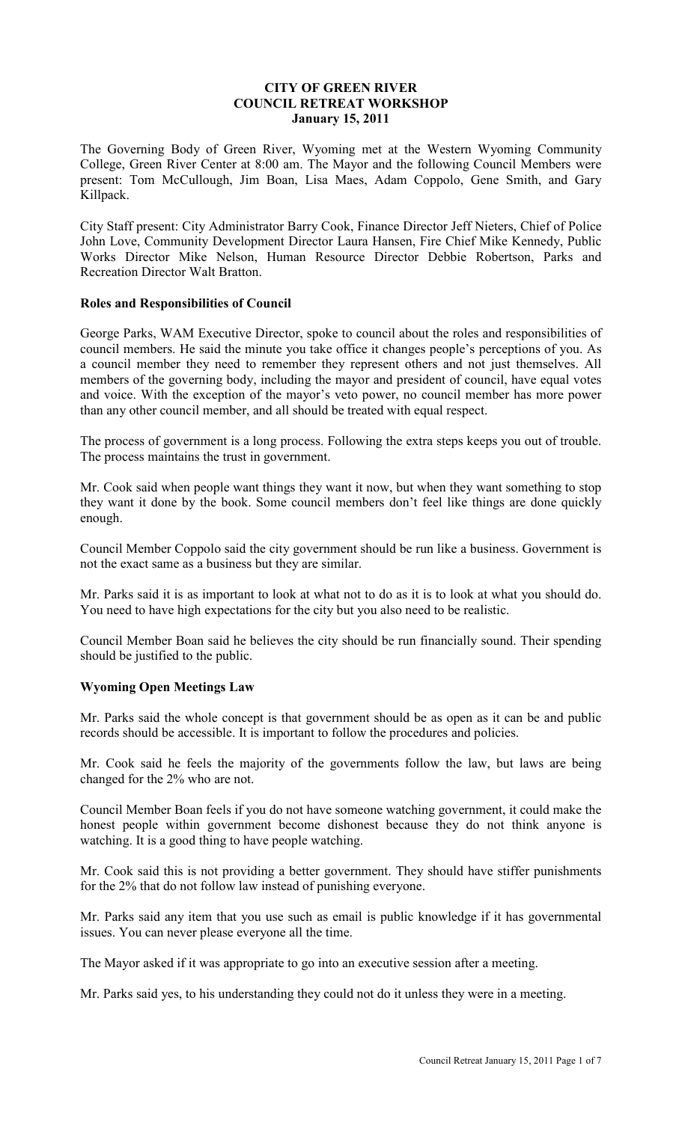## **CITY OF GREEN RIVER COUNCIL RETREAT WORKSHOP January 15, 2011**

The Governing Body of Green River, Wyoming met at the Western Wyoming Community College, Green River Center at 8:00 am. The Mayor and the following Council Members were present: Tom McCullough, Jim Boan, Lisa Maes, Adam Coppolo, Gene Smith, and Gary Killpack.

City Staff present: City Administrator Barry Cook, Finance Director Jeff Nieters, Chief of Police John Love, Community Development Director Laura Hansen, Fire Chief Mike Kennedy, Public Works Director Mike Nelson, Human Resource Director Debbie Robertson, Parks and Recreation Director Walt Bratton.

## **Roles and Responsibilities of Council**

George Parks, WAM Executive Director, spoke to council about the roles and responsibilities of council members. He said the minute you take office it changes people's perceptions of you. As a council member they need to remember they represent others and not just themselves. All members of the governing body, including the mayor and president of council, have equal votes and voice. With the exception of the mayor's veto power, no council member has more power than any other council member, and all should be treated with equal respect.

The process of government is a long process. Following the extra steps keeps you out of trouble. The process maintains the trust in government.

Mr. Cook said when people want things they want it now, but when they want something to stop they want it done by the book. Some council members don't feel like things are done quickly enough.

Council Member Coppolo said the city government should be run like a business. Government is not the exact same as a business but they are similar.

Mr. Parks said it is as important to look at what not to do as it is to look at what you should do. You need to have high expectations for the city but you also need to be realistic.

Council Member Boan said he believes the city should be run financially sound. Their spending should be justified to the public.

## **Wyoming Open Meetings Law**

Mr. Parks said the whole concept is that government should be as open as it can be and public records should be accessible. It is important to follow the procedures and policies.

Mr. Cook said he feels the majority of the governments follow the law, but laws are being changed for the 2% who are not.

Council Member Boan feels if you do not have someone watching government, it could make the honest people within government become dishonest because they do not think anyone is watching. It is a good thing to have people watching.

Mr. Cook said this is not providing a better government. They should have stiffer punishments for the 2% that do not follow law instead of punishing everyone.

Mr. Parks said any item that you use such as email is public knowledge if it has governmental issues. You can never please everyone all the time.

The Mayor asked if it was appropriate to go into an executive session after a meeting.

Mr. Parks said yes, to his understanding they could not do it unless they were in a meeting.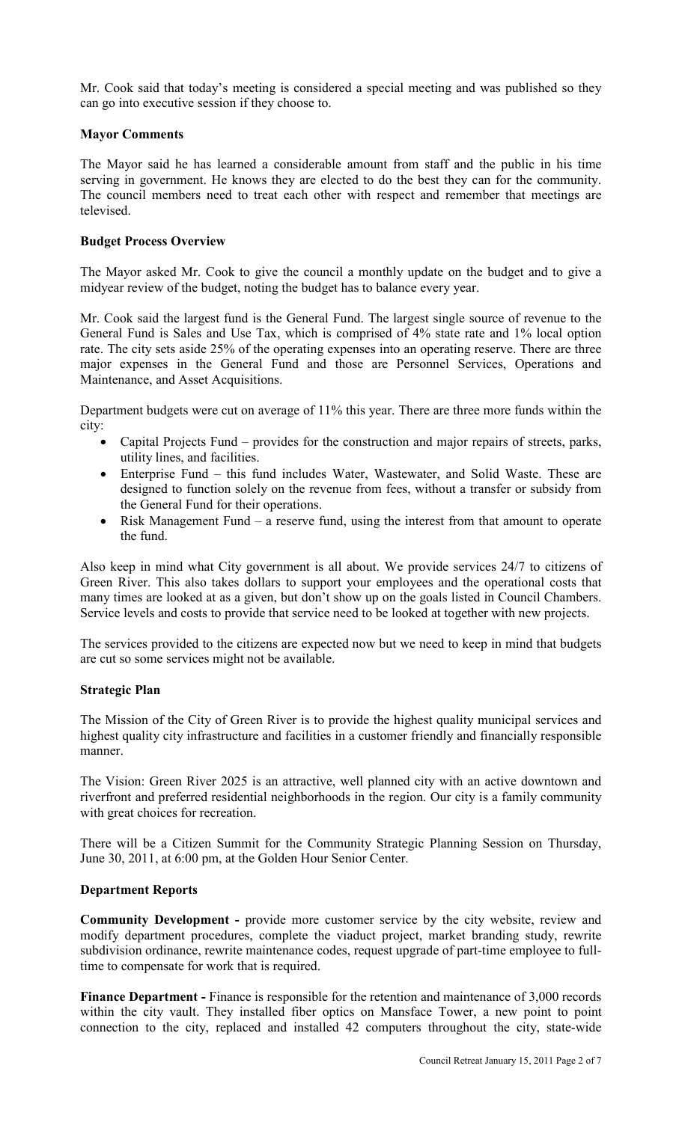Mr. Cook said that today's meeting is considered a special meeting and was published so they can go into executive session if they choose to.

# **Mayor Comments**

The Mayor said he has learned a considerable amount from staff and the public in his time serving in government. He knows they are elected to do the best they can for the community. The council members need to treat each other with respect and remember that meetings are televised.

# **Budget Process Overview**

The Mayor asked Mr. Cook to give the council a monthly update on the budget and to give a midyear review of the budget, noting the budget has to balance every year.

Mr. Cook said the largest fund is the General Fund. The largest single source of revenue to the General Fund is Sales and Use Tax, which is comprised of 4% state rate and 1% local option rate. The city sets aside 25% of the operating expenses into an operating reserve. There are three major expenses in the General Fund and those are Personnel Services, Operations and Maintenance, and Asset Acquisitions.

Department budgets were cut on average of 11% this year. There are three more funds within the city:

- Capital Projects Fund provides for the construction and major repairs of streets, parks, utility lines, and facilities.
- Enterprise Fund this fund includes Water, Wastewater, and Solid Waste. These are designed to function solely on the revenue from fees, without a transfer or subsidy from the General Fund for their operations.
- Risk Management Fund a reserve fund, using the interest from that amount to operate the fund.

Also keep in mind what City government is all about. We provide services 24/7 to citizens of Green River. This also takes dollars to support your employees and the operational costs that many times are looked at as a given, but don't show up on the goals listed in Council Chambers. Service levels and costs to provide that service need to be looked at together with new projects.

The services provided to the citizens are expected now but we need to keep in mind that budgets are cut so some services might not be available.

## **Strategic Plan**

The Mission of the City of Green River is to provide the highest quality municipal services and highest quality city infrastructure and facilities in a customer friendly and financially responsible manner.

The Vision: Green River 2025 is an attractive, well planned city with an active downtown and riverfront and preferred residential neighborhoods in the region. Our city is a family community with great choices for recreation.

There will be a Citizen Summit for the Community Strategic Planning Session on Thursday, June 30, 2011, at 6:00 pm, at the Golden Hour Senior Center.

## **Department Reports**

**Community Development -** provide more customer service by the city website, review and modify department procedures, complete the viaduct project, market branding study, rewrite subdivision ordinance, rewrite maintenance codes, request upgrade of part-time employee to fulltime to compensate for work that is required.

**Finance Department - Finance is responsible for the retention and maintenance of 3,000 records** within the city vault. They installed fiber optics on Mansface Tower, a new point to point connection to the city, replaced and installed 42 computers throughout the city, state-wide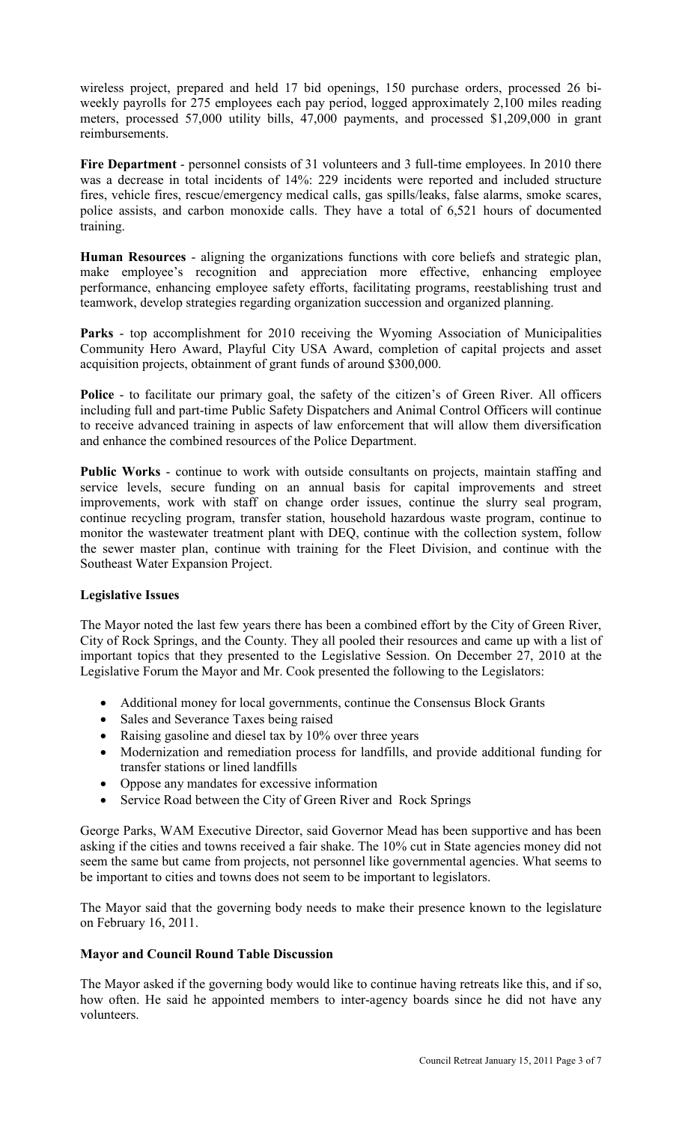wireless project, prepared and held 17 bid openings, 150 purchase orders, processed 26 biweekly payrolls for 275 employees each pay period, logged approximately 2,100 miles reading meters, processed 57,000 utility bills, 47,000 payments, and processed \$1,209,000 in grant reimbursements.

**Fire Department** - personnel consists of 31 volunteers and 3 full-time employees. In 2010 there was a decrease in total incidents of 14%: 229 incidents were reported and included structure fires, vehicle fires, rescue/emergency medical calls, gas spills/leaks, false alarms, smoke scares, police assists, and carbon monoxide calls. They have a total of 6,521 hours of documented training.

**Human Resources** - aligning the organizations functions with core beliefs and strategic plan, make employee's recognition and appreciation more effective, enhancing employee performance, enhancing employee safety efforts, facilitating programs, reestablishing trust and teamwork, develop strategies regarding organization succession and organized planning.

**Parks** - top accomplishment for 2010 receiving the Wyoming Association of Municipalities Community Hero Award, Playful City USA Award, completion of capital projects and asset acquisition projects, obtainment of grant funds of around \$300,000.

**Police** - to facilitate our primary goal, the safety of the citizen's of Green River. All officers including full and part-time Public Safety Dispatchers and Animal Control Officers will continue to receive advanced training in aspects of law enforcement that will allow them diversification and enhance the combined resources of the Police Department.

**Public Works** - continue to work with outside consultants on projects, maintain staffing and service levels, secure funding on an annual basis for capital improvements and street improvements, work with staff on change order issues, continue the slurry seal program, continue recycling program, transfer station, household hazardous waste program, continue to monitor the wastewater treatment plant with DEQ, continue with the collection system, follow the sewer master plan, continue with training for the Fleet Division, and continue with the Southeast Water Expansion Project.

## **Legislative Issues**

The Mayor noted the last few years there has been a combined effort by the City of Green River, City of Rock Springs, and the County. They all pooled their resources and came up with a list of important topics that they presented to the Legislative Session. On December 27, 2010 at the Legislative Forum the Mayor and Mr. Cook presented the following to the Legislators:

- Additional money for local governments, continue the Consensus Block Grants
- Sales and Severance Taxes being raised
- Raising gasoline and diesel tax by 10% over three years
- Modernization and remediation process for landfills, and provide additional funding for transfer stations or lined landfills
- Oppose any mandates for excessive information
- Service Road between the City of Green River and Rock Springs

George Parks, WAM Executive Director, said Governor Mead has been supportive and has been asking if the cities and towns received a fair shake. The 10% cut in State agencies money did not seem the same but came from projects, not personnel like governmental agencies. What seems to be important to cities and towns does not seem to be important to legislators.

The Mayor said that the governing body needs to make their presence known to the legislature on February 16, 2011.

## **Mayor and Council Round Table Discussion**

The Mayor asked if the governing body would like to continue having retreats like this, and if so, how often. He said he appointed members to inter-agency boards since he did not have any volunteers.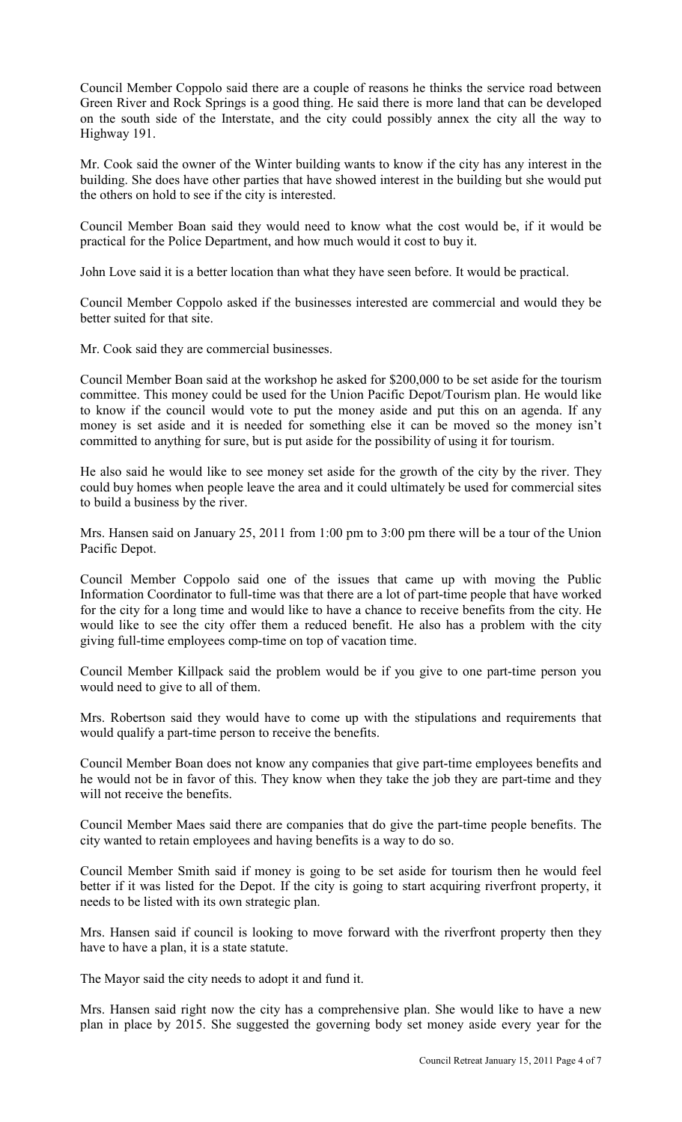Council Member Coppolo said there are a couple of reasons he thinks the service road between Green River and Rock Springs is a good thing. He said there is more land that can be developed on the south side of the Interstate, and the city could possibly annex the city all the way to Highway 191.

Mr. Cook said the owner of the Winter building wants to know if the city has any interest in the building. She does have other parties that have showed interest in the building but she would put the others on hold to see if the city is interested.

Council Member Boan said they would need to know what the cost would be, if it would be practical for the Police Department, and how much would it cost to buy it.

John Love said it is a better location than what they have seen before. It would be practical.

Council Member Coppolo asked if the businesses interested are commercial and would they be better suited for that site.

Mr. Cook said they are commercial businesses.

Council Member Boan said at the workshop he asked for \$200,000 to be set aside for the tourism committee. This money could be used for the Union Pacific Depot/Tourism plan. He would like to know if the council would vote to put the money aside and put this on an agenda. If any money is set aside and it is needed for something else it can be moved so the money isn't committed to anything for sure, but is put aside for the possibility of using it for tourism.

He also said he would like to see money set aside for the growth of the city by the river. They could buy homes when people leave the area and it could ultimately be used for commercial sites to build a business by the river.

Mrs. Hansen said on January 25, 2011 from 1:00 pm to 3:00 pm there will be a tour of the Union Pacific Depot.

Council Member Coppolo said one of the issues that came up with moving the Public Information Coordinator to full-time was that there are a lot of part-time people that have worked for the city for a long time and would like to have a chance to receive benefits from the city. He would like to see the city offer them a reduced benefit. He also has a problem with the city giving full-time employees comp-time on top of vacation time.

Council Member Killpack said the problem would be if you give to one part-time person you would need to give to all of them.

Mrs. Robertson said they would have to come up with the stipulations and requirements that would qualify a part-time person to receive the benefits.

Council Member Boan does not know any companies that give part-time employees benefits and he would not be in favor of this. They know when they take the job they are part-time and they will not receive the benefits.

Council Member Maes said there are companies that do give the part-time people benefits. The city wanted to retain employees and having benefits is a way to do so.

Council Member Smith said if money is going to be set aside for tourism then he would feel better if it was listed for the Depot. If the city is going to start acquiring riverfront property, it needs to be listed with its own strategic plan.

Mrs. Hansen said if council is looking to move forward with the riverfront property then they have to have a plan, it is a state statute.

The Mayor said the city needs to adopt it and fund it.

Mrs. Hansen said right now the city has a comprehensive plan. She would like to have a new plan in place by 2015. She suggested the governing body set money aside every year for the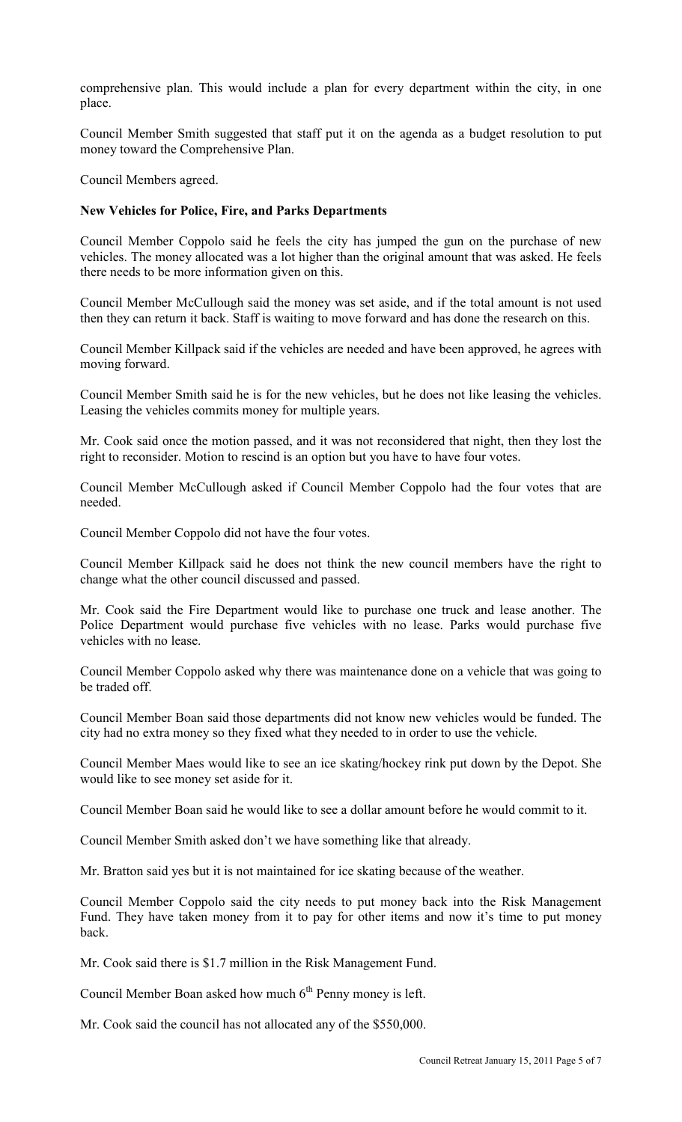comprehensive plan. This would include a plan for every department within the city, in one place.

Council Member Smith suggested that staff put it on the agenda as a budget resolution to put money toward the Comprehensive Plan.

Council Members agreed.

## **New Vehicles for Police, Fire, and Parks Departments**

Council Member Coppolo said he feels the city has jumped the gun on the purchase of new vehicles. The money allocated was a lot higher than the original amount that was asked. He feels there needs to be more information given on this.

Council Member McCullough said the money was set aside, and if the total amount is not used then they can return it back. Staff is waiting to move forward and has done the research on this.

Council Member Killpack said if the vehicles are needed and have been approved, he agrees with moving forward.

Council Member Smith said he is for the new vehicles, but he does not like leasing the vehicles. Leasing the vehicles commits money for multiple years.

Mr. Cook said once the motion passed, and it was not reconsidered that night, then they lost the right to reconsider. Motion to rescind is an option but you have to have four votes.

Council Member McCullough asked if Council Member Coppolo had the four votes that are needed.

Council Member Coppolo did not have the four votes.

Council Member Killpack said he does not think the new council members have the right to change what the other council discussed and passed.

Mr. Cook said the Fire Department would like to purchase one truck and lease another. The Police Department would purchase five vehicles with no lease. Parks would purchase five vehicles with no lease.

Council Member Coppolo asked why there was maintenance done on a vehicle that was going to be traded off.

Council Member Boan said those departments did not know new vehicles would be funded. The city had no extra money so they fixed what they needed to in order to use the vehicle.

Council Member Maes would like to see an ice skating/hockey rink put down by the Depot. She would like to see money set aside for it.

Council Member Boan said he would like to see a dollar amount before he would commit to it.

Council Member Smith asked don't we have something like that already.

Mr. Bratton said yes but it is not maintained for ice skating because of the weather.

Council Member Coppolo said the city needs to put money back into the Risk Management Fund. They have taken money from it to pay for other items and now it's time to put money back.

Mr. Cook said there is \$1.7 million in the Risk Management Fund.

Council Member Boan asked how much  $6<sup>th</sup>$  Penny money is left.

Mr. Cook said the council has not allocated any of the \$550,000.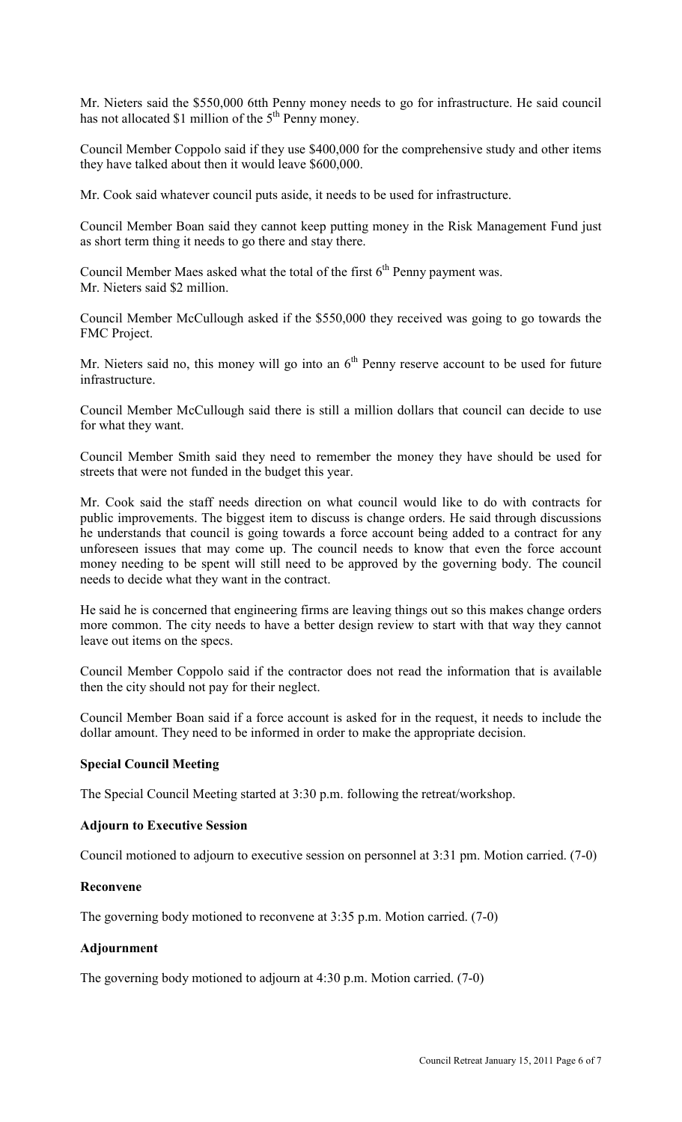Mr. Nieters said the \$550,000 6tth Penny money needs to go for infrastructure. He said council has not allocated \$1 million of the 5<sup>th</sup> Penny money.

Council Member Coppolo said if they use \$400,000 for the comprehensive study and other items they have talked about then it would leave \$600,000.

Mr. Cook said whatever council puts aside, it needs to be used for infrastructure.

Council Member Boan said they cannot keep putting money in the Risk Management Fund just as short term thing it needs to go there and stay there.

Council Member Maes asked what the total of the first  $6<sup>th</sup>$  Penny payment was. Mr. Nieters said \$2 million.

Council Member McCullough asked if the \$550,000 they received was going to go towards the FMC Project.

Mr. Nieters said no, this money will go into an  $6<sup>th</sup>$  Penny reserve account to be used for future infrastructure.

Council Member McCullough said there is still a million dollars that council can decide to use for what they want.

Council Member Smith said they need to remember the money they have should be used for streets that were not funded in the budget this year.

Mr. Cook said the staff needs direction on what council would like to do with contracts for public improvements. The biggest item to discuss is change orders. He said through discussions he understands that council is going towards a force account being added to a contract for any unforeseen issues that may come up. The council needs to know that even the force account money needing to be spent will still need to be approved by the governing body. The council needs to decide what they want in the contract.

He said he is concerned that engineering firms are leaving things out so this makes change orders more common. The city needs to have a better design review to start with that way they cannot leave out items on the specs.

Council Member Coppolo said if the contractor does not read the information that is available then the city should not pay for their neglect.

Council Member Boan said if a force account is asked for in the request, it needs to include the dollar amount. They need to be informed in order to make the appropriate decision.

## **Special Council Meeting**

The Special Council Meeting started at 3:30 p.m. following the retreat/workshop.

## **Adjourn to Executive Session**

Council motioned to adjourn to executive session on personnel at 3:31 pm. Motion carried. (7-0)

## **Reconvene**

The governing body motioned to reconvene at 3:35 p.m. Motion carried. (7-0)

## **Adjournment**

The governing body motioned to adjourn at 4:30 p.m. Motion carried. (7-0)